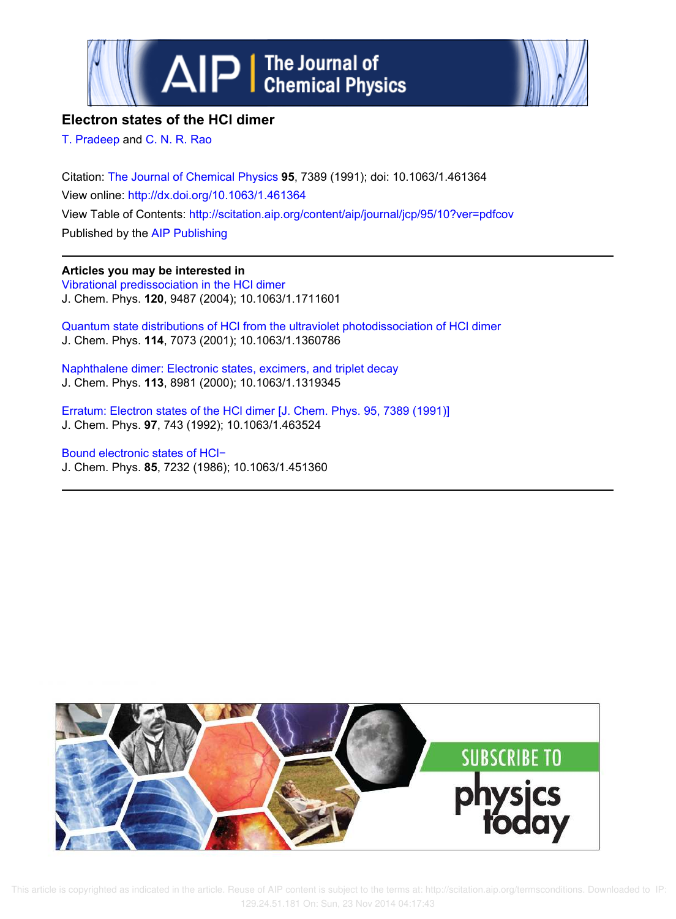



## **Electron states of the HCl dimer**

T. Pradeep and C. N. R. Rao

Citation: The Journal of Chemical Physics **95**, 7389 (1991); doi: 10.1063/1.461364 View online: http://dx.doi.org/10.1063/1.461364 View Table of Contents: http://scitation.aip.org/content/aip/journal/jcp/95/10?ver=pdfcov Published by the AIP Publishing

**Articles you may be interested in** Vibrational predissociation in the HCl dimer J. Chem. Phys. **120**, 9487 (2004); 10.1063/1.1711601

Quantum state distributions of HCl from the ultraviolet photodissociation of HCl dimer J. Chem. Phys. **114**, 7073 (2001); 10.1063/1.1360786

Naphthalene dimer: Electronic states, excimers, and triplet decay J. Chem. Phys. **113**, 8981 (2000); 10.1063/1.1319345

Erratum: Electron states of the HCl dimer [J. Chem. Phys. 95, 7389 (1991)] J. Chem. Phys. **97**, 743 (1992); 10.1063/1.463524

Bound electronic states of HCl− J. Chem. Phys. **85**, 7232 (1986); 10.1063/1.451360



 This article is copyrighted as indicated in the article. Reuse of AIP content is subject to the terms at: http://scitation.aip.org/termsconditions. Downloaded to IP: 129.24.51.181 On: Sun, 23 Nov 2014 04:17:43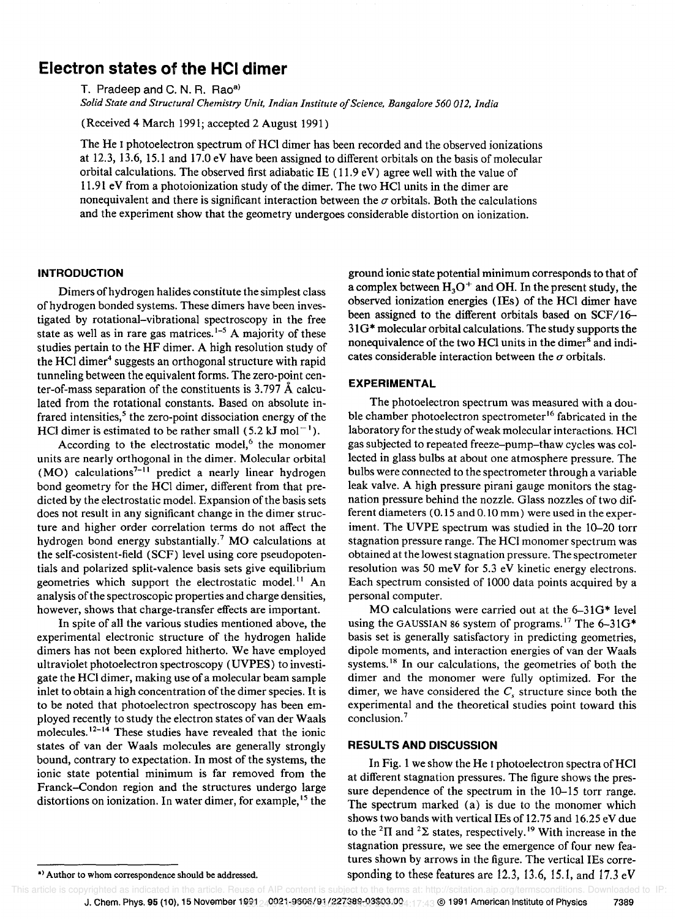# **Electron states of the HCI dimer**

T. Pradeep and C.N.R. Rao<sup>a)</sup>

*Solid State and Structural Chemistry Unit, Indian Institute a/Science, Bangalore 560 012, India* 

(Received 4 March 1991; accepted 2 August 1991)

The He I photoelectron spectrum of HCI dimer has been recorded and the observed ionizations at 12.3, 13.6, 15.1 and 17.0 eV have been assigned to different orbitals on the basis of molecular orbital calculations. The observed first adiabatic IE (11.9 eV) agree well with the value of 11.91 eV from a photoionization study of the dimer. The two HCl units in the dimer are nonequivalent and there is significant interaction between the  $\sigma$  orbitals. Both the calculations and the experiment show that the geometry undergoes considerable distortion on ionization.

#### **INTRODUCTION**

Dimers of hydrogen halides constitute the simplest class of hydrogen bonded systems. These dimers have been investigated by rotational-vibrational spectroscopy in the free state as well as in rare gas matrices.<sup>1-5</sup> A majority of these studies pertain to the HF dimer. A high resolution study of the HCl dimer<sup>4</sup> suggests an orthogonal structure with rapid tunneling between the equivalent forms. The zero-point center-of-mass separation of the constituents is 3.797 A calculated from the rotational constants. Based on absolute infrared intensities, $5$  the zero-point dissociation energy of the HCl dimer is estimated to be rather small  $(5.2 \text{ kJ mol}^{-1})$ .

According to the electrostatic model, $6$  the monomer units are nearly orthogonal in the dimer. Molecular orbital  $(MO)$  calculations<sup>7-11</sup> predict a nearly linear hydrogen bond geometry for the HCI dimer, different from that predicted by the electrostatic model. Expansion of the basis sets does not result in any significant change in the dimer structure and higher order correlation terms do not affect the hydrogen bond energy substantially.<sup>7</sup> MO calculations at the self-cosistent-field (SCF) level using core pseudopotentials and polarized split-valence basis sets give equilibrium geometries which support the electrostatic model.<sup>11</sup> An analysis of the spectroscopic properties and charge densities, however, shows that charge-transfer effects are important.

In spite of all the various studies mentioned above, the experimental electronic structure of the hydrogen halide dimers has not been explored hitherto. We have employed ultraviolet photoelectron spectroscopy (UVPES) to investigate the HCI dimer, making use of a molecular beam sample inlet to obtain a high concentration of the dimer species. It is to be noted that photoelectron spectroscopy has been employed recently to study the electron states of van der Waals molecules.<sup>12-14</sup> These studies have revealed that the ionic states of van der Waals molecules are generally strongly bound, contrary to expectation. In most of the systems, the ionic state potential minimum is far removed from the Franck-Condon region and the structures undergo large distortions on ionization. In water dimer, for example,  $15$  the ground ionic state potential minimum corresponds to that of a complex between  $H_3O^+$  and OH. In the present study, the observed ionization energies (lEs) of the HCI dimer have been assigned to the different orbitals based on SCF/l6- 31 G\* molecular orbital calculations. The study supports the nonequivalence of the two HCl units in the dimer<sup>8</sup> and indicates considerable interaction between the  $\sigma$  orbitals.

#### **EXPERIMENTAL**

The photoelectron spectrum was measured with a double chamber photoelectron spectrometer<sup>16</sup> fabricated in the laboratory for the study of weak molecular interactions. HCl gas subjected to repeated freeze-pump-thaw cycles was collected in glass bulbs at about one atmosphere pressure. The bulbs were connected to the spectrometer through a variable leak valve. A high pressure pirani gauge monitors the stagnation pressure behind the nozzle. Glass nozzles of two different diameters (0.15 and 0.10 mm) were used in the experiment. The UVPE spectrum was studied in the 10-20 torr stagnation pressure range. The HCl monomer spectrum was obtained at the lowest stagnation pressure. The spectrometer resolution was 50 meV for 5.3 eV kinetic energy electrons. Each spectrum consisted of 1000 data points acquired by a personal computer.

MO calculations were carried out at the  $6-31G*$  level using the GAUSSIAN 86 system of programs.<sup>17</sup> The  $6-31G^*$ basis set is generally satisfactory in predicting geometries, dipole moments, and interaction energies of van der Waals systems.<sup>18</sup> In our calculations, the geometries of both the dimer and the monomer were fully optimized. For the dimer, we have considered the  $C<sub>s</sub>$  structure since both the experimental and the theoretical studies point toward this conclusion.<sup>7</sup>

### **RESULTS AND DISCUSSION**

In Fig. 1 we show the He I photoelectron spectra of HCl at different stagnation pressures. The figure shows the pressure dependence of the spectrum in the 10-15 torr range. The spectrum marked (a) is due to the monomer which shows two bands with vertical IEs of 12.75 and 16.25 eV due to the <sup>2</sup> $\Pi$  and <sup>2</sup> $\Sigma$  states, respectively.<sup>19</sup> With increase in the stagnation pressure, we see the emergence of four new features shown by arrows in the figure. The vertical IEs corresponding to these features are 12.3, 13.6, 15.1, and 17.3 eV

<sup>\*)</sup> Author to whom correspondence should be addressed.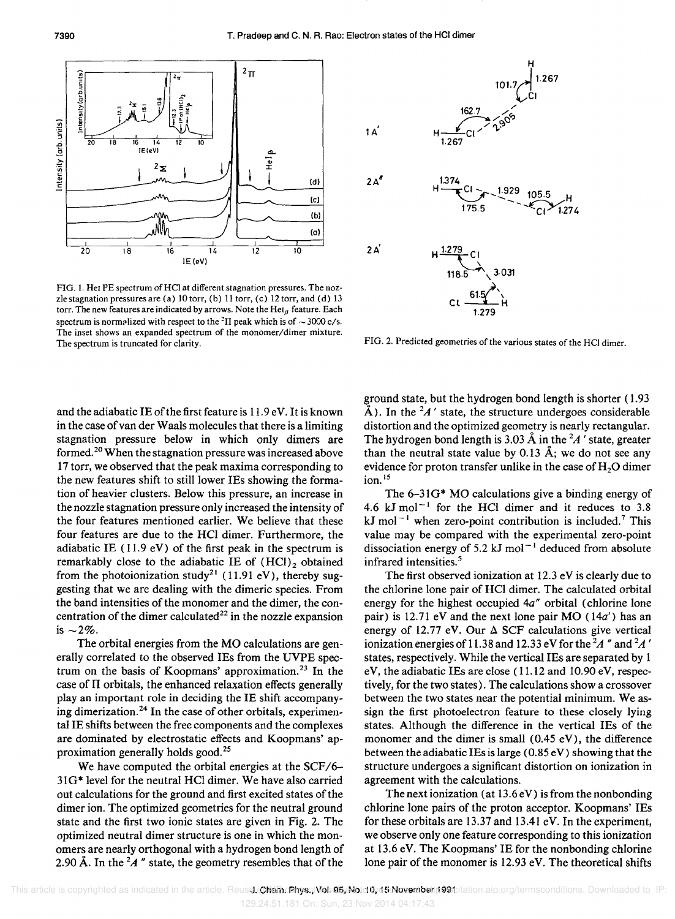



FIG. 1. Hei PE spectrum of HCl at different stagnation pressures. The nozzle stagnation pressures are (a) 10 torr, (b) 11 torr, (c) 12 torr, and (d) 13 torr. The new features are indicated by arrows. Note the  $HeI<sub>g</sub>$  feature. Each spectrum is normalized with respect to the <sup>2</sup>II peak which is of  $\sim$  3000 *c*/s. The inset shows an expanded spectrum of the *monomer/dimer* mixture. The spectrum is truncated for clarity.

and the adiabatic IE of the first feature is 11.9 eV. It is known in the case of van der Waals molecules that there is a limiting stagnation pressure below in which only dimers are formed. 20 When the stagnation pressure was increased above 17 torr, we observed that the peak maxima corresponding to the new features shift to still lower IEs showing the formation of heavier clusters. Below this pressure, an increase in the nozzle stagnation pressure only increased the intensity of the four features mentioned earlier. We believe that these four features are due to the HCl dimer. Furthermore, the adiabatic IE  $(11.9 \text{ eV})$  of the first peak in the spectrum is remarkably close to the adiabatic IE of  $(HCl)<sub>2</sub>$  obtained from the photoionization study<sup>21</sup> (11.91 eV), thereby suggesting that we are dealing with the dimeric species. From the band intensities of the monomer and the dimer, the concentration of the dimer calculated<sup>22</sup> in the nozzle expansion is  $\sim$  2%.

The orbital energies from the MO calculations are generally correlated to the observed IEs from the UVPE spectrum on the basis of Koopmans' approximation.<sup>23</sup> In the case of II orbitals, the enhanced relaxation effects generally play an important role in deciding the IE shift accompanying dimerization.<sup>24</sup> In the case of other orbitals, experimental IE shifts between the free components and the complexes are dominated by electrostatic effects and Koopmans' approximation generally holds good. <sup>25</sup>

We have computed the orbital energies at the SCF/6- 31 G\* level for the neutral HCI dimer. We have also carried out calculations for the ground and first excited states of the dimer ion. The optimized geometries for the neutral ground state and the first two ionic states are given in Fig. 2. The optimized neutral dimer structure is one in which the monomers are nearly orthogonal with a hydrogen bond length of 2.90 Å. In the  ${}^{2}A$  " state, the geometry resembles that of the



FIG. 2. Predicted geometries of the various states of the HCl dimer.

ground state, but the hydrogen bond length is shorter (1.93  $\hat{A}$ ). In the <sup>2</sup>*A'* state, the structure undergoes considerable distortion and the optimized geometry is nearly rectangular. The hydrogen bond length is 3.03  $\AA$  in the <sup>2</sup>A' state, greater than the neutral state value by 0.13  $\AA$ ; we do not see any evidence for proton transfer unlike in the case of  $H<sub>2</sub>O$  dimer  $ion.<sup>15</sup>$ 

The  $6-31G^*$  MO calculations give a binding energy of 4.6 kJ mol<sup>-1</sup> for the HCl dimer and it reduces to  $3.8$ kJ mol<sup> $-1$ </sup> when zero-point contribution is included.<sup>7</sup> This value may be compared with the experimental zero-point dissociation energy of 5.2 kJ mol<sup> $-1$ </sup> deduced from absolute infrared intensities.<sup>5</sup>

The first observed ionization at 12.3 eV is clearly due to the chlorine lone pair of HCl dimer. The calculated orbital energy for the highest occupied 4a" orbital (chlorine lone pair) is 12.71 eV and the next lone pair  $MO(14a')$  has an energy of 12.77 eV. Our  $\Delta$  SCF calculations give vertical ionization energies of 11.38 and 12.33 eV for the *2A* "and *2A '*  states, respectively. While the vertical IEs are separated by 1 eV, the adiabatic IEs are close (11.12 and 10.90 eV, respectively, for the two states). The calculations show a crossover between the two states near the potential minimum. We assign the first photoelectron feature to these closely lying states. Although the difference in the vertical IEs of the monomer and the dimer is small (0.45 eV), the difference between the adiabatic IEs is large  $(0.85 \text{ eV})$  showing that the structure undergoes a significant distortion on ionization in agreement with the calculations.

The next ionization (at  $13.6 \text{ eV}$ ) is from the nonbonding chlorine lone pairs of the proton acceptor. Koopmans' IEs for these orbitals are 13.37 and 13.41 eV. In the experiment, we observe only one feature corresponding to this ionization at 13.6 eV. The Koopmans' IE for the nonbonding chlorine lone pair of the monomer is 12.93 eV. The theoretical shifts